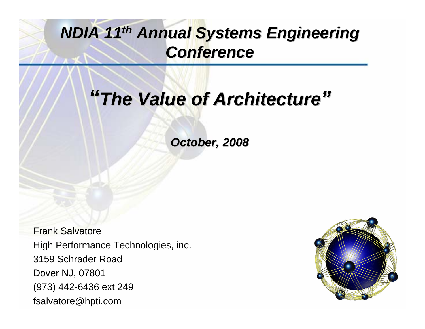## *NDIA 11 NDIA 11th Annual Systems Engineering Annual Systems Engineering Conference Conference*

# *"The Value of Architecture The Value of Architecture"*

*October, 2008 October, 2008*

Frank SalvatoreHigh Performance Technologies, inc. 3159 Schrader RoadDover NJ, 07801 (973) 442-6436 ext 249 fsalvatore@hpti.com

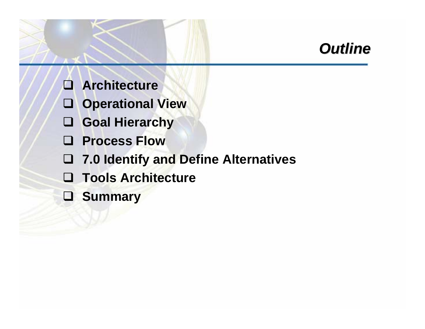## *Outline Outline*

- **Architecture**
- **Operational View**
- **Goal Hierarchy**
- **Process Flow**
- **7.0 Identify and Define Alternatives**
- **Tools Architecture**
- **Summary**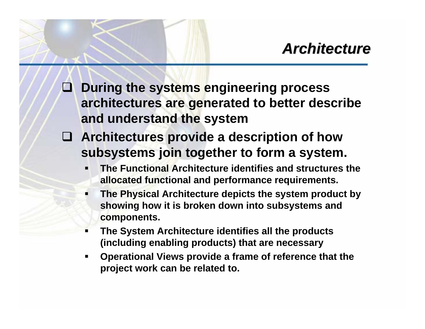**During the systems engineering process architectures are generated to better describe and understand the system**

- **Architectures provide a description of how subsystems join together to form a system.** 
	- Г **The Functional Architecture identifies and structures the allocated functional and performance requirements.**
	- Г **The Physical Architecture depicts the system product by showing how it is broken down into subsystems and components.**
	- **The System Architecture identifies all the products (including enabling products) that are necessary**
	- **Operational Views provide a frame of reference that the project work can be related to.**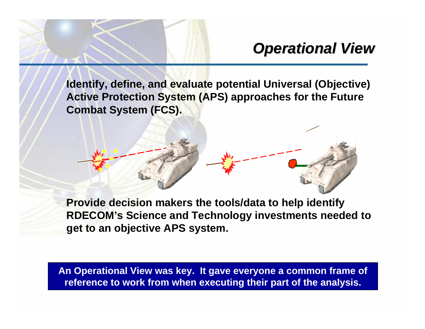## *Operational View Operational View*

**Identify, define, and evaluate potential Universal (Objective) Active Protection System (APS) approaches for the Future Combat System (FCS).**



**Provide decision makers the tools/data to help identify RDECOM's Science and Technology investments needed to get to an objective APS system.**

**An Operational View was key. It gave everyone a common frame of reference to work from when executing their part of the analysis.**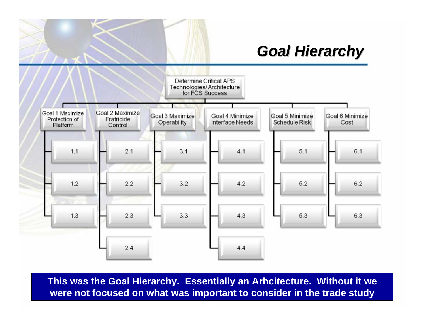### *Goal Hierarchy Goal Hierarchy*



**This was the Goal Hierarchy. Essentially an Arhcitecture. Without it we were not focused on what was important to consider in the trade study**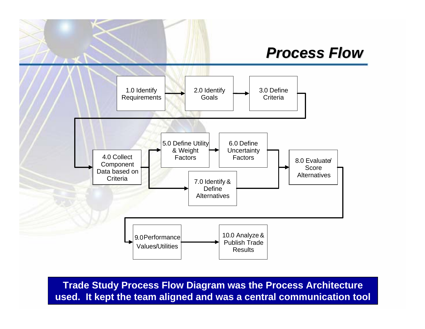#### *Process Flow Process Flow*



**Trade Study Process Flow Diagram was the Process Architecture used. It kept the team aligned and was a central communication tool**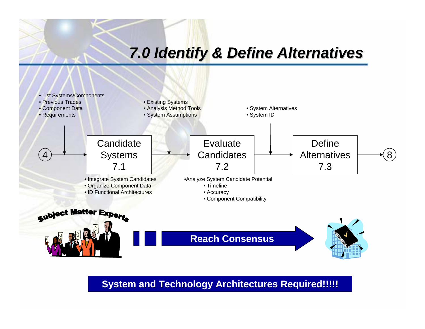#### *7.0 Identify & Define Alternatives 7.0 Identify & Define Alternatives*



**System and Technology Architectures Required!!!!!**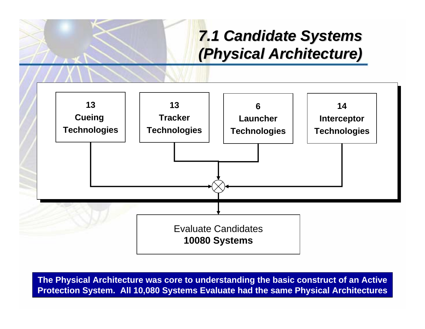## *7.1 Candidate Systems 7.1 Candidate Systems (Physical Architecture) (Physical Architecture)*



**The Physical Architecture was core to understanding the basic construct of an Active Protection System. All 10,080 Systems Evaluate had the same Physical Architectures**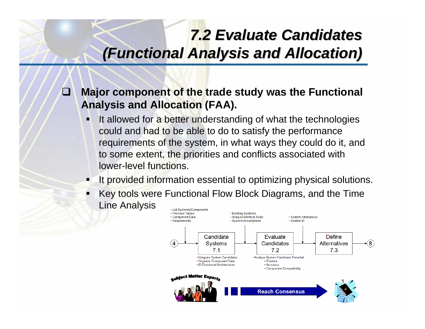## *7.2 Evaluate Candidates 7.2 Evaluate Candidates(Functional Analysis and Allocation) (Functional Analysis and Allocation)*

#### $\Box$  **Major component of the trade study was the Functional Analysis and Allocation (FAA).**

- It allowed for a better understanding of what the technologies could and had to be able to do to satisfy the performance requirements of the system, in what ways they could do it, and to some extent, the priorities and conflicts associated with lower-level functions.
- It provided information essential to optimizing physical solutions.
- Key tools were Functional Flow Block Diagrams, and the Time ■ Line Analysis• List Systems/Components

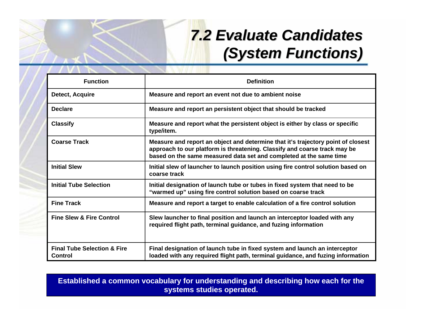## *7.2 Evaluate Candidates 7.2 Evaluate Candidates (System Functions) (System Functions)*

| <b>Function</b>                                   | <b>Definition</b>                                                                                                                                                                                                                   |
|---------------------------------------------------|-------------------------------------------------------------------------------------------------------------------------------------------------------------------------------------------------------------------------------------|
| Detect, Acquire                                   | Measure and report an event not due to ambient noise                                                                                                                                                                                |
| <b>Declare</b>                                    | Measure and report an persistent object that should be tracked                                                                                                                                                                      |
| <b>Classify</b>                                   | Measure and report what the persistent object is either by class or specific<br>type/item.                                                                                                                                          |
| <b>Coarse Track</b>                               | Measure and report an object and determine that it's trajectory point of closest<br>approach to our platform is threatening. Classify and coarse track may be<br>based on the same measured data set and completed at the same time |
| <b>Initial Slew</b>                               | Initial slew of launcher to launch position using fire control solution based on<br>coarse track                                                                                                                                    |
| <b>Initial Tube Selection</b>                     | Initial designation of launch tube or tubes in fixed system that need to be<br>"warmed up" using fire control solution based on coarse track                                                                                        |
| <b>Fine Track</b>                                 | Measure and report a target to enable calculation of a fire control solution                                                                                                                                                        |
| <b>Fine Slew &amp; Fire Control</b>               | Slew launcher to final position and launch an interceptor loaded with any<br>required flight path, terminal guidance, and fuzing information                                                                                        |
| <b>Final Tube Selection &amp; Fire</b><br>Control | Final designation of launch tube in fixed system and launch an interceptor<br>loaded with any required flight path, terminal guidance, and fuzing information                                                                       |

**Established a common vocabulary for understanding and describing how each for the systems studies operated.**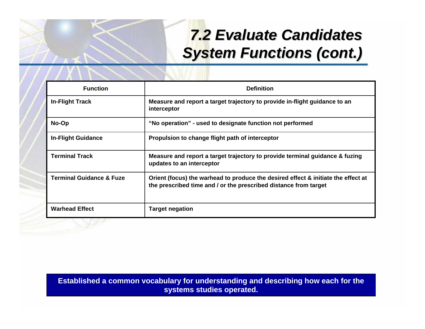## *7.2 Evaluate Candidates 7.2 Evaluate Candidates System Functions (cont.) System Functions (cont.)*

| <b>Function</b>                     | <b>Definition</b>                                                                                                                                     |
|-------------------------------------|-------------------------------------------------------------------------------------------------------------------------------------------------------|
| <b>In-Flight Track</b>              | Measure and report a target trajectory to provide in-flight guidance to an<br>interceptor                                                             |
| No-Op                               | "No operation" - used to designate function not performed                                                                                             |
| <b>In-Flight Guidance</b>           | Propulsion to change flight path of interceptor                                                                                                       |
| <b>Terminal Track</b>               | Measure and report a target trajectory to provide terminal guidance & fuzing<br>updates to an interceptor                                             |
| <b>Terminal Guidance &amp; Fuze</b> | Orient (focus) the warhead to produce the desired effect & initiate the effect at<br>the prescribed time and / or the prescribed distance from target |
| <b>Warhead Effect</b>               | <b>Target negation</b>                                                                                                                                |

**Established a common vocabulary for understanding and describing how each for the systems studies operated.**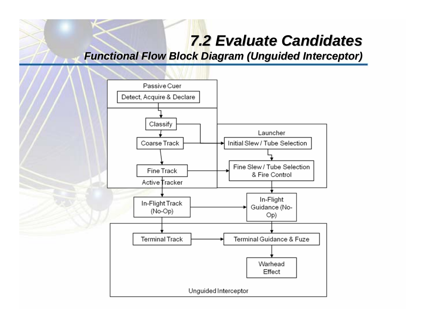#### *7.2 Evaluate Candidates 7.2 Evaluate Candidates*

*Functional Flow Block Diagram (Unguided Interceptor)* 

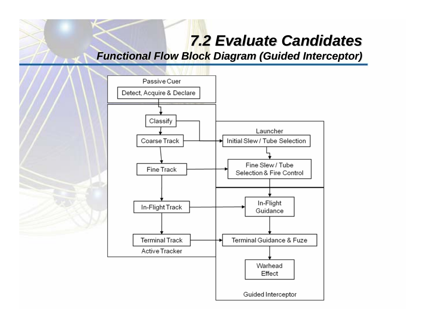#### *7.2 Evaluate Candidates 7.2 Evaluate Candidates*

*Functional Flow Block Diagram (Guided Interceptor) Functional Flow Block Diagram (Guided Interceptor)*

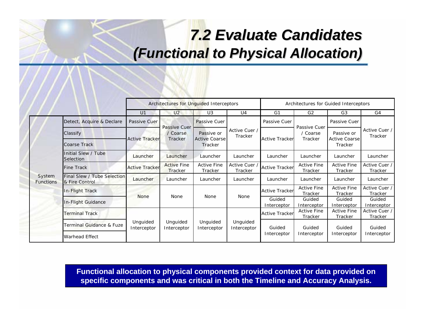## *7.2 Evaluate Candidates 7.2 Evaluate Candidates (Functional to Physical Allocation) Functional to Physical Allocation)*

|                            |                                               |                         |                                      | Architectures for Unguided Interceptors |                          | Architectures for Guided Interceptors |                               |                                    |                          |  |  |
|----------------------------|-----------------------------------------------|-------------------------|--------------------------------------|-----------------------------------------|--------------------------|---------------------------------------|-------------------------------|------------------------------------|--------------------------|--|--|
|                            |                                               | U1                      | U <sub>2</sub>                       | U3                                      | U <sub>4</sub>           | G1                                    | G <sub>2</sub>                | G <sub>3</sub>                     | G4                       |  |  |
| System<br><b>Functions</b> | Detect, Acquire & Declare                     | Passive Cuer            | Passive Cuer<br>/ Coarse<br>Tracker  | Passive Cuer                            |                          | Passive Cuer                          | Passive Cuer                  | Passive Cuer                       | Active Cuer /<br>Tracker |  |  |
|                            | Classify                                      | <b>Active Tracker</b>   |                                      | Passive or<br><b>Active Coarse</b>      | Active Cuer /<br>Tracker | <b>Active Trackerl</b>                | / Coarse<br>Tracker           | Passive or<br><b>Active Coarse</b> |                          |  |  |
|                            | Coarse Track                                  |                         |                                      | Tracker                                 |                          |                                       |                               | Tracker                            |                          |  |  |
|                            | Initial Slew / Tube<br>Selection              | Launcher                | Launcher                             | Launcher                                | Launcher                 | Launcher                              | Launcher<br>Launcher          |                                    | Launcher                 |  |  |
|                            | Fine Track                                    | <b>Active Tracker</b>   | <b>Active Fine</b><br><b>Tracker</b> | <b>Active Fine</b><br>Tracker           | Active Cuer /<br>Tracker | <b>Active Tracker</b>                 | <b>Active Fine</b><br>Tracker | <b>Active Fine</b><br>Tracker      | Active Cuer /<br>Tracker |  |  |
|                            | Final Slew / Tube Selection<br>& Fire Control | Launcher                | Launcher                             | Launcher                                | Launcher                 | Launcher                              | Launcher                      | Launcher                           | Launcher                 |  |  |
|                            | In-Flight Track                               | <b>None</b>             | <b>None</b>                          | <b>None</b>                             | None                     | <b>Active Tracker</b>                 | <b>Active Fine</b><br>Tracker | <b>Active Fine</b><br>Tracker      | Active Cuer /<br>Tracker |  |  |
|                            | In-Flight Guidance                            |                         |                                      |                                         |                          | Guided<br>Interceptor                 | Guided<br>Interceptor         | Guided<br>Interceptor              | Guided<br>Interceptor    |  |  |
|                            | Terminal Track                                |                         | Unquided<br>Interceptor              | Unguided<br>Interceptor                 |                          | <b>Active Tracker</b>                 | <b>Active Fine</b><br>Tracker | <b>Active Fine</b><br>Tracker      | Active Cuer /<br>Tracker |  |  |
|                            | Terminal Guidance & Fuze                      | Unguided<br>Interceptor |                                      |                                         | Unguided<br>Interceptor  | Guided                                | Guided                        | Guided                             | Guided                   |  |  |
|                            | Warhead Effect                                |                         |                                      |                                         |                          | Interceptor                           | Interceptor                   | Interceptor                        | Interceptor              |  |  |

**Functional allocation to physical components provided context for data provided on specific components and was critical in both the Timeline and Accuracy Analysis.**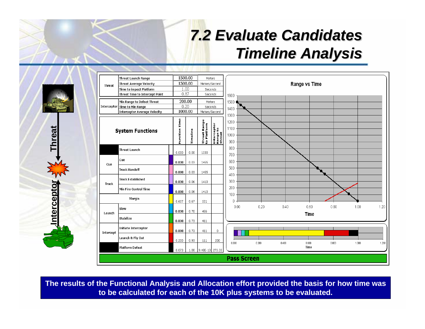## *7.2 Evaluate Candidates 7.2 Evaluate Candidates Timeline Analysis Timeline Analysis*



|               | Threat Launch Range            |                  | 1500.00                  | Meters                      |                                   |                                                                     |
|---------------|--------------------------------|------------------|--------------------------|-----------------------------|-----------------------------------|---------------------------------------------------------------------|
| <b>Threat</b> | Threat Average Velocity        |                  | 1500.00<br>Meters/Second |                             |                                   | Range vs Time                                                       |
|               | Time to impact Platform        |                  | 1.00                     | Seconds                     |                                   |                                                                     |
|               | Threat Time to Intercept Point |                  | 0.87<br>Seconds          |                             |                                   | 1600                                                                |
|               | Min Range to Defeat Threat     |                  | 200.00                   |                             | Meters                            | 1500                                                                |
|               | Interceptor Time to Min Range  |                  | 0.20                     | Seconds                     |                                   | 1400                                                                |
|               | Interceptor Average Velocity   |                  | 1000.00                  | Meters/Second               |                                   | 1300                                                                |
|               | <b>System Functions</b>        | Time<br>Function | rimeline                 | Threat Range<br>to Platform | Interceptor<br>Range to<br>Threat | 1200<br>1100<br>1000<br>900                                         |
|               | <b>Threat Launch</b>           | 0.000            | 0.00                     | 1500                        |                                   | 800<br>700                                                          |
| Cue           | Cue                            | 0.030            | 0.03                     | 1455                        |                                   | 600                                                                 |
|               | <b>Track Handoff</b>           | 0.000            | 0.03                     | 1455                        |                                   | 500<br>400                                                          |
| <b>Track</b>  | <b>Track Established</b>       | 0.030            | 0.06                     | 1410                        |                                   | 300                                                                 |
|               | Min Fire Control Time          | 0.000            | 0.06                     | 1410                        |                                   | 200<br>100                                                          |
|               | Margin                         | 0.607            | 0.67                     | 501                         |                                   | $\theta$                                                            |
| Launch        | Slew                           | 0.030            | 0.70                     | 456                         |                                   | 0.20<br>0.80<br>1.00<br>0.00<br>0.40<br>0.60<br>1.20<br><b>Time</b> |
|               | Stabilize                      | 0.030            | 0.73                     | 411                         |                                   |                                                                     |
| Intercept     | Initiate Interceptor           | 0.000            | 0.73                     | 411                         | 0                                 |                                                                     |
|               | Launch & Fly Out               | 0.200            | 0.93                     | 111                         | 200                               | 0.200<br>0.600<br>0.000<br>0.400<br>0.800<br>1.000<br>1.200         |
|               | Platform Defeat                | 0.073            | 1.00                     | 9.48E-13 273.33             |                                   | Time                                                                |
|               |                                |                  |                          |                             |                                   | <b>Pass Screen</b>                                                  |

**The results of the Functional Analysis and Allocation effort provided the basis for how time was to be calculated for each of the 10K plus systems to be evaluated.**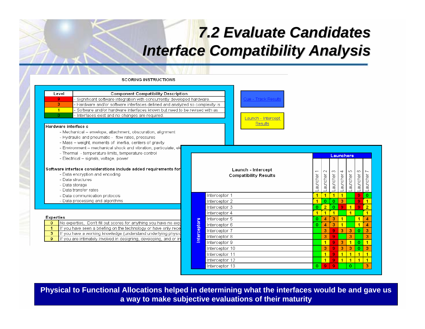### *7.2 Evaluate Candidates 7.2 Evaluate Candidates Interface Compatibility Analysis Interface Compatibility Analysis*

#### **SCORING INSTRUCTIONS**

| Level                          | <b>Component Compatibility Description</b>                                                                                       |  |                     |                |                 |  |  |
|--------------------------------|----------------------------------------------------------------------------------------------------------------------------------|--|---------------------|----------------|-----------------|--|--|
| 9                              | - Significant software integration with concurrently developed hardware.                                                         |  | Cue - Tra           |                |                 |  |  |
| 3                              | - Hardware and/or software interfaces defined and analyzed so complexity is                                                      |  |                     |                |                 |  |  |
| $\overline{1}$                 | - Software and/or hardware interfaces known but need to be revised with as                                                       |  |                     |                |                 |  |  |
| Ō                              | - Interfaces exist and no changes are required.                                                                                  |  |                     |                | Launch -        |  |  |
| Hardware interface c           |                                                                                                                                  |  |                     |                | Res             |  |  |
|                                | - Mechanical – envelope, attachment, obscuration, alignment                                                                      |  |                     |                |                 |  |  |
|                                | - Hydraulic and pneumatic - flow rates, pressures                                                                                |  |                     |                |                 |  |  |
|                                | - Mass - weight, moments of linertia, centers of gravity                                                                         |  |                     |                |                 |  |  |
|                                | - Environment - mechanical shock and vibration, particulate, ele-                                                                |  |                     |                |                 |  |  |
|                                | - Thermal - temperature limits, temperature control                                                                              |  |                     |                |                 |  |  |
|                                | - Electrical - signals, voltage, power                                                                                           |  |                     |                |                 |  |  |
|                                |                                                                                                                                  |  |                     |                |                 |  |  |
|                                | Software interface considerations include added requirements for                                                                 |  | Launch - Inter      |                |                 |  |  |
| - Data encryption and encoding |                                                                                                                                  |  |                     |                | Compatibility R |  |  |
|                                | - Data structures                                                                                                                |  |                     |                |                 |  |  |
|                                | - Data storage                                                                                                                   |  |                     |                |                 |  |  |
|                                | - Data transfer rates                                                                                                            |  |                     |                |                 |  |  |
|                                | - Data communication protocols                                                                                                   |  |                     | Interceptor 1  |                 |  |  |
|                                | - Data processing and algorithms                                                                                                 |  |                     | Interceptor 2  |                 |  |  |
|                                |                                                                                                                                  |  |                     | Interceptor 3  |                 |  |  |
|                                |                                                                                                                                  |  |                     | Interceptor 4  |                 |  |  |
| <b>Experties</b>               |                                                                                                                                  |  |                     | Interceptor 5  |                 |  |  |
| $\Omega$                       | No experties, Don't fill out scores for anything you have no expl                                                                |  |                     | Interceptor 6  |                 |  |  |
| 1<br>3                         | If you have seen a briefing on the technology or have only rece<br>If you have a working knowledge (understand underlying physid |  |                     | Interceptor 7  |                 |  |  |
| 9                              | If you are intimately involved in designing, developing, and or in                                                               |  | <b>Interceptors</b> | Interceptor 8  |                 |  |  |
|                                |                                                                                                                                  |  |                     | Interceptor 9  |                 |  |  |
|                                |                                                                                                                                  |  |                     | Interceptor 10 |                 |  |  |
|                                |                                                                                                                                  |  |                     | Interceptor 11 |                 |  |  |
|                                |                                                                                                                                  |  |                     | Interceptor 12 |                 |  |  |
|                                |                                                                                                                                  |  |                     |                |                 |  |  |



| Launch - Intercept<br><b>Compatibility Results</b> | $\overline{\phantom{0}}$<br>auncher | $\sim$<br>auncher | ∞<br>auncher | 4<br>auncher | 40<br>auncher | Õ<br>auncher | ∼<br>auncher |  |
|----------------------------------------------------|-------------------------------------|-------------------|--------------|--------------|---------------|--------------|--------------|--|
| Interceptor 1                                      | 1                                   | 1                 | 1            | 1            |               | 9            | o            |  |
| Interceptor 2                                      | 1                                   | o                 | $\Omega$     | 3            |               | 9            | 1            |  |
| Interceptor 3                                      | o                                   | $\overline{2}$    | 0            | 9            | 1             | 9            | 2            |  |
| Interceptor 4                                      | 1                                   | 1                 | 1            |              | 1             |              | 1            |  |
| Interceptor 5                                      | ο                                   | 4                 | 3            | 1            |               | 1            | 4            |  |
| Interceptor 6                                      | o                                   | Δ                 | 3            | 1            |               | 1            | 4            |  |
| Interceptor 7                                      |                                     | з                 | 9            | 3            | 3             | 0            | 3            |  |
| Interceptor 8                                      |                                     | 3                 | 9            |              | 3             |              | 3            |  |
| Interceptor 9                                      |                                     | 1                 | 9            | 3            | 1             | $\Omega$     | 1            |  |
| Interceptor 10                                     |                                     | з                 | 9            | 3            | 3             | 0            | 3            |  |
| Interceptor 11                                     |                                     | 1                 | 9            | 1            | 1             | 1            | 1            |  |
| Interceptor 12                                     |                                     | 1                 | <b>g</b>     | 1            | 1             | 1            | 1            |  |
| Interceptor 13                                     | ο                                   | 9                 | 9            |              | ο             |              | 3            |  |

Launchers

**Physical to Functional Allocations helped in determining what the interfaces would be and gave us a way to make subjective evaluations of their maturity**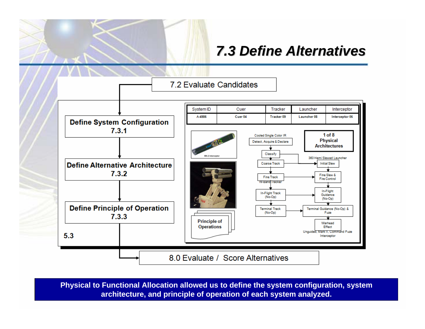#### *7.3 Define Alternatives 7.3 Define Alternatives*



**Physical to Functional Allocation allowed us to define the system configuration, system architecture, and principle of operation of each system analyzed.**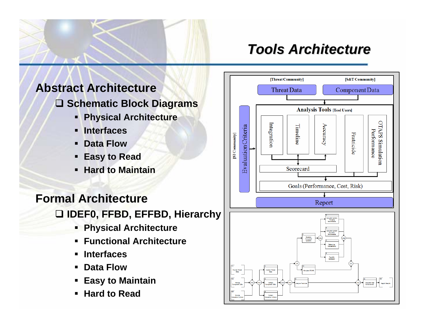#### *Tools Architecture Tools Architecture*

#### **Abstract Architecture**

- **Schematic Block Diagrams**
	- **Physical Architecture**
	- **Interfaces**
	- **Data Flow**
	- **Easy to Read**
	- **Hard to Maintain**

#### **Formal ArchitectureIDEF0, FFBD, EFFBD, Hierarchy**

- **Physical Architecture**
- **Functional Architecture**
- **Interfaces**
- **Data Flow**
- **Easy to Maintain**
- **Hard to Read**

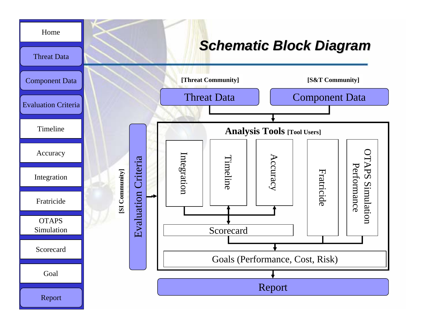#### *Schematic Block Diagram Schematic Block Diagram*



[Home](#page-21-0)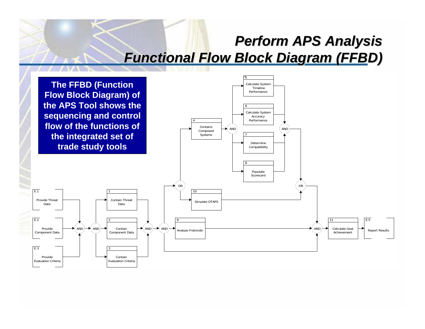#### **Perform APS Analysis** *Functional Flow Block Diagram (FFBD) Functional Flow Block Diagram (FFBD)*

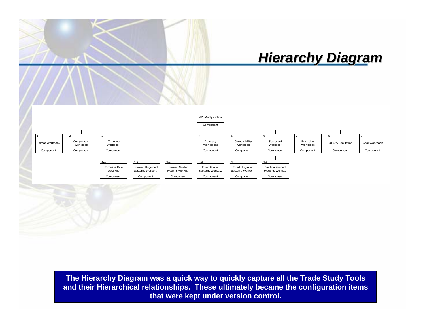#### *Hierarchy Diagram Hierarchy Diagram*



**The Hierarchy Diagram was a quick way to quickly capture all the Trade Study Tools and their Hierarchical relationships. These ultimately became the configuration items that were kept under version control.**